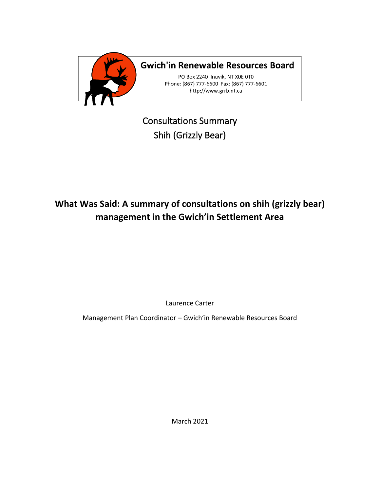

**Gwich'in Renewable Resources Board** 

PO Box 2240 Inuvik, NT XOE 0TO Phone: (867) 777-6600 Fax: (867) 777-6601 http://www.grrb.nt.ca

Consultations Summary Shih (Grizzly Bear)

# **What Was Said: A summary of consultations on shih (grizzly bear) management in the Gwich'in Settlement Area**

Laurence Carter

Management Plan Coordinator – Gwich'in Renewable Resources Board

March 2021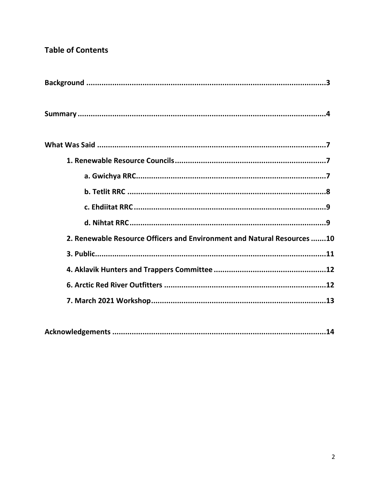# **Table of Contents**

| 2. Renewable Resource Officers and Environment and Natural Resources 10 |
|-------------------------------------------------------------------------|
|                                                                         |
|                                                                         |
|                                                                         |
|                                                                         |
|                                                                         |

|--|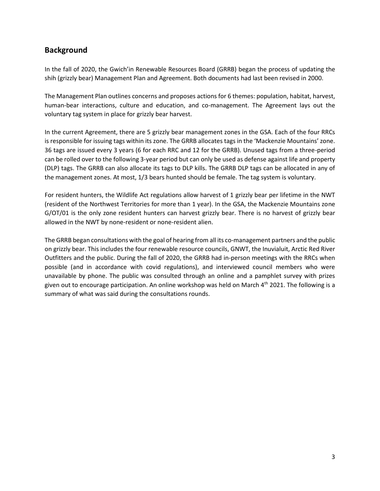# **Background**

In the fall of 2020, the Gwich'in Renewable Resources Board (GRRB) began the process of updating the shih (grizzly bear) Management Plan and Agreement. Both documents had last been revised in 2000.

The Management Plan outlines concerns and proposes actions for 6 themes: population, habitat, harvest, human-bear interactions, culture and education, and co-management. The Agreement lays out the voluntary tag system in place for grizzly bear harvest.

In the current Agreement, there are 5 grizzly bear management zones in the GSA. Each of the four RRCs is responsible for issuing tags within its zone. The GRRB allocates tags in the 'Mackenzie Mountains' zone. 36 tags are issued every 3 years (6 for each RRC and 12 for the GRRB). Unused tags from a three-period can be rolled over to the following 3-year period but can only be used as defense against life and property (DLP) tags. The GRRB can also allocate its tags to DLP kills. The GRRB DLP tags can be allocated in any of the management zones. At most, 1/3 bears hunted should be female. The tag system is voluntary.

For resident hunters, the Wildlife Act regulations allow harvest of 1 grizzly bear per lifetime in the NWT (resident of the Northwest Territories for more than 1 year). In the GSA, the Mackenzie Mountains zone G/OT/01 is the only zone resident hunters can harvest grizzly bear. There is no harvest of grizzly bear allowed in the NWT by none-resident or none-resident alien.

The GRRB began consultations with the goal of hearing from all its co-management partners and the public on grizzly bear. This includes the four renewable resource councils, GNWT, the Inuvialuit, Arctic Red River Outfitters and the public. During the fall of 2020, the GRRB had in-person meetings with the RRCs when possible (and in accordance with covid regulations), and interviewed council members who were unavailable by phone. The public was consulted through an online and a pamphlet survey with prizes given out to encourage participation. An online workshop was held on March  $4<sup>th</sup>$  2021. The following is a summary of what was said during the consultations rounds.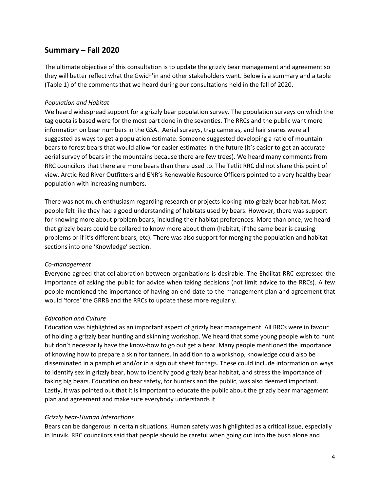## **Summary – Fall 2020**

The ultimate objective of this consultation is to update the grizzly bear management and agreement so they will better reflect what the Gwich'in and other stakeholders want. Below is a summary and a table (Table 1) of the comments that we heard during our consultations held in the fall of 2020.

### *Population and Habitat*

We heard widespread support for a grizzly bear population survey. The population surveys on which the tag quota is based were for the most part done in the seventies. The RRCs and the public want more information on bear numbers in the GSA. Aerial surveys, trap cameras, and hair snares were all suggested as ways to get a population estimate. Someone suggested developing a ratio of mountain bears to forest bears that would allow for easier estimates in the future (it's easier to get an accurate aerial survey of bears in the mountains because there are few trees). We heard many comments from RRC councilors that there are more bears than there used to. The Tetlit RRC did not share this point of view. Arctic Red River Outfitters and ENR's Renewable Resource Officers pointed to a very healthy bear population with increasing numbers.

There was not much enthusiasm regarding research or projects looking into grizzly bear habitat. Most people felt like they had a good understanding of habitats used by bears. However, there was support for knowing more about problem bears, including their habitat preferences. More than once, we heard that grizzly bears could be collared to know more about them (habitat, if the same bear is causing problems or if it's different bears, etc). There was also support for merging the population and habitat sections into one 'Knowledge' section.

#### *Co-management*

Everyone agreed that collaboration between organizations is desirable. The Ehdiitat RRC expressed the importance of asking the public for advice when taking decisions (not limit advice to the RRCs). A few people mentioned the importance of having an end date to the management plan and agreement that would 'force' the GRRB and the RRCs to update these more regularly.

#### *Education and Culture*

Education was highlighted as an important aspect of grizzly bear management. All RRCs were in favour of holding a grizzly bear hunting and skinning workshop. We heard that some young people wish to hunt but don't necessarily have the know-how to go out get a bear. Many people mentioned the importance of knowing how to prepare a skin for tanners. In addition to a workshop, knowledge could also be disseminated in a pamphlet and/or in a sign out sheet for tags. These could include information on ways to identify sex in grizzly bear, how to identify good grizzly bear habitat, and stress the importance of taking big bears. Education on bear safety, for hunters and the public, was also deemed important. Lastly, it was pointed out that it is important to educate the public about the grizzly bear management plan and agreement and make sure everybody understands it.

#### *Grizzly bear-Human Interactions*

Bears can be dangerous in certain situations. Human safety was highlighted as a critical issue, especially in Inuvik. RRC councilors said that people should be careful when going out into the bush alone and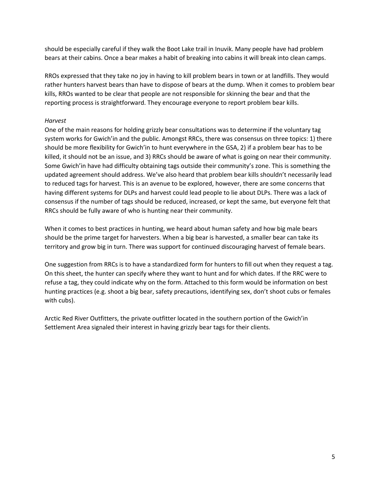should be especially careful if they walk the Boot Lake trail in Inuvik. Many people have had problem bears at their cabins. Once a bear makes a habit of breaking into cabins it will break into clean camps.

RROs expressed that they take no joy in having to kill problem bears in town or at landfills. They would rather hunters harvest bears than have to dispose of bears at the dump. When it comes to problem bear kills, RROs wanted to be clear that people are not responsible for skinning the bear and that the reporting process is straightforward. They encourage everyone to report problem bear kills.

### *Harvest*

One of the main reasons for holding grizzly bear consultations was to determine if the voluntary tag system works for Gwich'in and the public. Amongst RRCs, there was consensus on three topics: 1) there should be more flexibility for Gwich'in to hunt everywhere in the GSA, 2) if a problem bear has to be killed, it should not be an issue, and 3) RRCs should be aware of what is going on near their community. Some Gwich'in have had difficulty obtaining tags outside their community's zone. This is something the updated agreement should address. We've also heard that problem bear kills shouldn't necessarily lead to reduced tags for harvest. This is an avenue to be explored, however, there are some concerns that having different systems for DLPs and harvest could lead people to lie about DLPs. There was a lack of consensus if the number of tags should be reduced, increased, or kept the same, but everyone felt that RRCs should be fully aware of who is hunting near their community.

When it comes to best practices in hunting, we heard about human safety and how big male bears should be the prime target for harvesters. When a big bear is harvested, a smaller bear can take its territory and grow big in turn. There was support for continued discouraging harvest of female bears.

One suggestion from RRCs is to have a standardized form for hunters to fill out when they request a tag. On this sheet, the hunter can specify where they want to hunt and for which dates. If the RRC were to refuse a tag, they could indicate why on the form. Attached to this form would be information on best hunting practices (e.g. shoot a big bear, safety precautions, identifying sex, don't shoot cubs or females with cubs).

Arctic Red River Outfitters, the private outfitter located in the southern portion of the Gwich'in Settlement Area signaled their interest in having grizzly bear tags for their clients.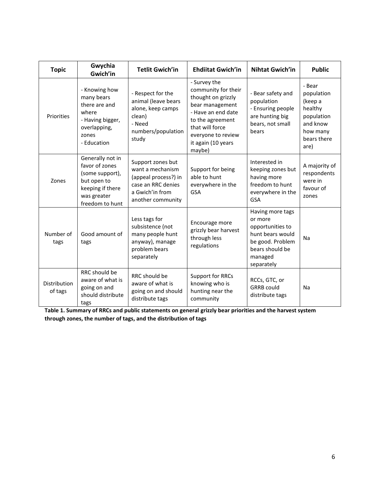| <b>Topic</b>            | Gwychia<br>Gwich'in                                                                                                        | <b>Tetlit Gwich'in</b>                                                                                                      | <b>Ehdiitat Gwich'in</b>                                                                                                                                                                        | <b>Nihtat Gwich'in</b>                                                                                                              | <b>Public</b>                                                                                           |
|-------------------------|----------------------------------------------------------------------------------------------------------------------------|-----------------------------------------------------------------------------------------------------------------------------|-------------------------------------------------------------------------------------------------------------------------------------------------------------------------------------------------|-------------------------------------------------------------------------------------------------------------------------------------|---------------------------------------------------------------------------------------------------------|
| Priorities              | - Knowing how<br>many bears<br>there are and<br>where<br>- Having bigger,<br>overlapping,<br>zones<br>- Education          | - Respect for the<br>animal (leave bears<br>alone, keep camps<br>clean)<br>- Need<br>numbers/population<br>study            | - Survey the<br>community for their<br>thought on grizzly<br>bear management<br>- Have an end date<br>to the agreement<br>that will force<br>everyone to review<br>it again (10 years<br>maybe) | - Bear safety and<br>population<br>- Ensuring people<br>are hunting big<br>bears, not small<br>bears                                | - Bear<br>population<br>(keep a<br>healthy<br>population<br>and know<br>how many<br>bears there<br>are) |
| Zones                   | Generally not in<br>favor of zones<br>(some support),<br>but open to<br>keeping if there<br>was greater<br>freedom to hunt | Support zones but<br>want a mechanism<br>(appeal process?) in<br>case an RRC denies<br>a Gwich'in from<br>another community | Support for being<br>able to hunt<br>everywhere in the<br><b>GSA</b>                                                                                                                            | Interested in<br>keeping zones but<br>having more<br>freedom to hunt<br>everywhere in the<br><b>GSA</b>                             | A majority of<br>respondents<br>were in<br>favour of<br>zones                                           |
| Number of<br>tags       | Good amount of<br>tags                                                                                                     | Less tags for<br>subsistence (not<br>many people hunt<br>anyway), manage<br>problem bears<br>separately                     | Encourage more<br>grizzly bear harvest<br>through less<br>regulations                                                                                                                           | Having more tags<br>or more<br>opportunities to<br>hunt bears would<br>be good. Problem<br>bears should be<br>managed<br>separately | Na                                                                                                      |
| Distribution<br>of tags | RRC should be<br>aware of what is<br>going on and<br>should distribute<br>tags                                             | RRC should be<br>aware of what is<br>going on and should<br>distribute tags                                                 | Support for RRCs<br>knowing who is<br>hunting near the<br>community                                                                                                                             | RCCs, GTC, or<br><b>GRRB</b> could<br>distribute tags                                                                               | Na                                                                                                      |

**Table 1. Summary of RRCs and public statements on general grizzly bear priorities and the harvest system through zones, the number of tags, and the distribution of tags**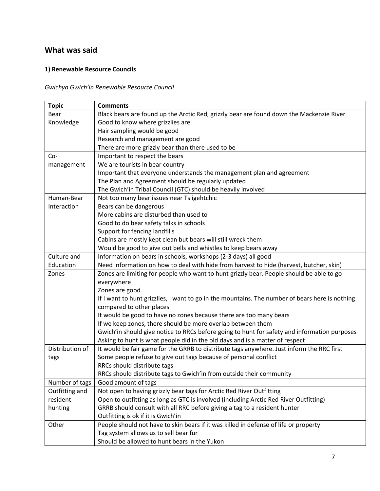# **What was said**

## **1) Renewable Resource Councils**

*Gwichya Gwich'in Renewable Resource Council*

| <b>Topic</b>    | <b>Comments</b>                                                                                 |
|-----------------|-------------------------------------------------------------------------------------------------|
| Bear            | Black bears are found up the Arctic Red, grizzly bear are found down the Mackenzie River        |
| Knowledge       | Good to know where grizzlies are                                                                |
|                 | Hair sampling would be good                                                                     |
|                 | Research and management are good                                                                |
|                 | There are more grizzly bear than there used to be                                               |
| Co-             | Important to respect the bears                                                                  |
| management      | We are tourists in bear country                                                                 |
|                 | Important that everyone understands the management plan and agreement                           |
|                 | The Plan and Agreement should be regularly updated                                              |
|                 | The Gwich'in Tribal Council (GTC) should be heavily involved                                    |
| Human-Bear      | Not too many bear issues near Tsiigehtchic                                                      |
| Interaction     | Bears can be dangerous                                                                          |
|                 | More cabins are disturbed than used to                                                          |
|                 | Good to do bear safety talks in schools                                                         |
|                 | Support for fencing landfills                                                                   |
|                 | Cabins are mostly kept clean but bears will still wreck them                                    |
|                 | Would be good to give out bells and whistles to keep bears away                                 |
| Culture and     | Information on bears in schools, workshops (2-3 days) all good                                  |
| Education       | Need information on how to deal with hide from harvest to hide (harvest, butcher, skin)         |
| Zones           | Zones are limiting for people who want to hunt grizzly bear. People should be able to go        |
|                 | everywhere                                                                                      |
|                 | Zones are good                                                                                  |
|                 | If I want to hunt grizzlies, I want to go in the mountains. The number of bears here is nothing |
|                 | compared to other places                                                                        |
|                 | It would be good to have no zones because there are too many bears                              |
|                 | If we keep zones, there should be more overlap between them                                     |
|                 | Gwich'in should give notice to RRCs before going to hunt for safety and information purposes    |
|                 | Asking to hunt is what people did in the old days and is a matter of respect                    |
| Distribution of | It would be fair game for the GRRB to distribute tags anywhere. Just inform the RRC first       |
| tags            | Some people refuse to give out tags because of personal conflict                                |
|                 | RRCs should distribute tags                                                                     |
|                 | RRCs should distribute tags to Gwich'in from outside their community                            |
| Number of tags  | Good amount of tags                                                                             |
| Outfitting and  | Not open to having grizzly bear tags for Arctic Red River Outfitting                            |
| resident        | Open to outfitting as long as GTC is involved (including Arctic Red River Outfitting)           |
| hunting         | GRRB should consult with all RRC before giving a tag to a resident hunter                       |
|                 | Outfitting is ok if it is Gwich'in                                                              |
| Other           | People should not have to skin bears if it was killed in defense of life or property            |
|                 | Tag system allows us to sell bear fur                                                           |
|                 | Should be allowed to hunt bears in the Yukon                                                    |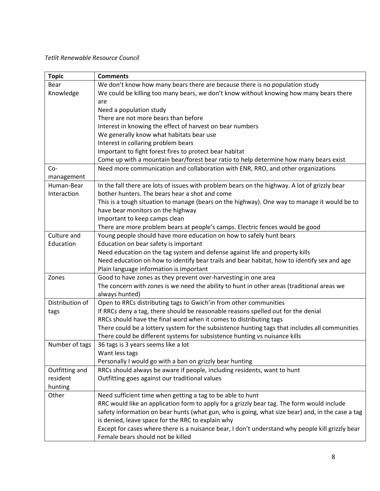#### *Tetlit Renewable Resource Council*

| <b>Topic</b>    | <b>Comments</b>                                                                                  |
|-----------------|--------------------------------------------------------------------------------------------------|
| Bear            | We don't know how many bears there are because there is no population study                      |
| Knowledge       | We could be killing too many bears, we don't know without knowing how many bears there           |
|                 | are                                                                                              |
|                 | Need a population study                                                                          |
|                 | There are not more bears than before                                                             |
|                 | Interest in knowing the effect of harvest on bear numbers                                        |
|                 | We generally know what habitats bear use                                                         |
|                 | Interest in collaring problem bears                                                              |
|                 | Important to fight forest fires to protect bear habitat                                          |
|                 | Come up with a mountain bear/forest bear ratio to help determine how many bears exist            |
| $Co-$           | Need more communication and collaboration with ENR, RRO, and other organizations                 |
| management      |                                                                                                  |
| Human-Bear      | In the fall there are lots of issues with problem bears on the highway. A lot of grizzly bear    |
| Interaction     | bother hunters. The bears hear a shot and come                                                   |
|                 | This is a tough situation to manage (bears on the highway). One way to manage it would be to     |
|                 | have bear monitors on the highway                                                                |
|                 | Important to keep camps clean                                                                    |
|                 | There are more problem bears at people's camps. Electric fences would be good                    |
| Culture and     | Young people should have more education on how to safely hunt bears                              |
| Education       | Education on bear safety is important                                                            |
|                 | Need education on the tag system and defense against life and property kills                     |
|                 | Need education on how to identify bear trails and bear habitat, how to identify sex and age      |
|                 | Plain language information is important                                                          |
| Zones           | Good to have zones as they prevent over-harvesting in one area                                   |
|                 | The concern with zones is we need the ability to hunt in other areas (traditional areas we       |
|                 | always hunted)                                                                                   |
| Distribution of | Open to RRCs distributing tags to Gwich'in from other communities                                |
| tags            | If RRCs deny a tag, there should be reasonable reasons spelled out for the denial                |
|                 | RRCs should have the final word when it comes to distributing tags                               |
|                 | There could be a lottery system for the subsistence hunting tags that includes all communities   |
|                 | There could be different systems for subsistence hunting vs nuisance kills                       |
| Number of tags  | 36 tags is 3 years seems like a lot                                                              |
|                 | Want less tags                                                                                   |
|                 | Personally I would go with a ban on grizzly bear hunting                                         |
| Outfitting and  | RRCs should always be aware if people, including residents, want to hunt                         |
| resident        | Outfitting goes against our traditional values                                                   |
| hunting         |                                                                                                  |
| Other           | Need sufficient time when getting a tag to be able to hunt                                       |
|                 | RRC would like an application form to apply for a grizzly bear tag. The form would include       |
|                 | safety information on bear hunts (what gun, who is going, what size bear) and, in the case a tag |
|                 | is denied, leave space for the RRC to explain why                                                |
|                 | Except for cases where there is a nuisance bear, I don't understand why people kill grizzly bear |
|                 | Female bears should not be killed                                                                |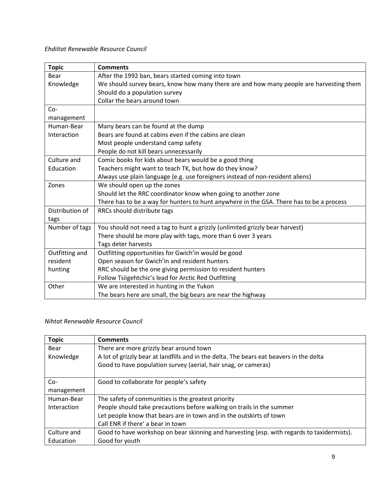## *Ehdiitat Renewable Resource Council*

| <b>Topic</b>    | <b>Comments</b>                                                                          |
|-----------------|------------------------------------------------------------------------------------------|
| <b>Bear</b>     | After the 1992 ban, bears started coming into town                                       |
| Knowledge       | We should survey bears, know how many there are and how many people are harvesting them  |
|                 | Should do a population survey                                                            |
|                 | Collar the bears around town                                                             |
| Co-             |                                                                                          |
| management      |                                                                                          |
| Human-Bear      | Many bears can be found at the dump                                                      |
| Interaction     | Bears are found at cabins even if the cabins are clean                                   |
|                 | Most people understand camp safety                                                       |
|                 | People do not kill bears unnecessarily                                                   |
| Culture and     | Comic books for kids about bears would be a good thing                                   |
| Education       | Teachers might want to teach TK, but how do they know?                                   |
|                 | Always use plain language (e.g. use foreigners instead of non-resident aliens)           |
| Zones           | We should open up the zones                                                              |
|                 | Should let the RRC coordinator know when going to another zone                           |
|                 | There has to be a way for hunters to hunt anywhere in the GSA. There has to be a process |
| Distribution of | RRCs should distribute tags                                                              |
| tags            |                                                                                          |
| Number of tags  | You should not need a tag to hunt a grizzly (unlimited grizzly bear harvest)             |
|                 | There should be more play with tags, more than 6 over 3 years                            |
|                 | Tags deter harvests                                                                      |
| Outfitting and  | Outfitting opportunities for Gwich'in would be good                                      |
| resident        | Open season for Gwich'in and resident hunters                                            |
| hunting         | RRC should be the one giving permission to resident hunters                              |
|                 | Follow Tsiigehtchic's lead for Arctic Red Outfitting                                     |
| Other           | We are interested in hunting in the Yukon                                                |
|                 | The bears here are small, the big bears are near the highway                             |

## *Nihtat Renewable Resource Council*

| <b>Topic</b> | <b>Comments</b>                                                                            |
|--------------|--------------------------------------------------------------------------------------------|
| Bear         | There are more grizzly bear around town                                                    |
| Knowledge    | A lot of grizzly bear at landfills and in the delta. The bears eat beavers in the delta    |
|              | Good to have population survey (aerial, hair snag, or cameras)                             |
|              |                                                                                            |
| $Co-$        | Good to collaborate for people's safety                                                    |
| management   |                                                                                            |
| Human-Bear   | The safety of communities is the greatest priority                                         |
| Interaction  | People should take precautions before walking on trails in the summer                      |
|              | Let people know that bears are in town and in the outskirts of town                        |
|              | Call ENR if there' a bear in town                                                          |
| Culture and  | Good to have workshop on bear skinning and harvesting (esp. with regards to taxidermists). |
| Education    | Good for youth                                                                             |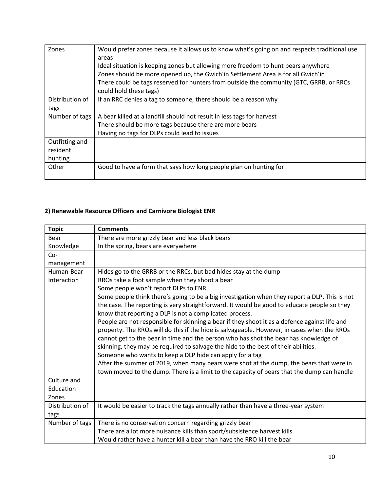| Zones           | Would prefer zones because it allows us to know what's going on and respects traditional use<br>areas             |
|-----------------|-------------------------------------------------------------------------------------------------------------------|
|                 | Ideal situation is keeping zones but allowing more freedom to hunt bears anywhere                                 |
|                 | Zones should be more opened up, the Gwich'in Settlement Area is for all Gwich'in                                  |
|                 | There could be tags reserved for hunters from outside the community (GTC, GRRB, or RRCs<br>could hold these tags) |
| Distribution of | If an RRC denies a tag to someone, there should be a reason why                                                   |
| tags            |                                                                                                                   |
| Number of tags  | A bear killed at a landfill should not result in less tags for harvest                                            |
|                 | There should be more tags because there are more bears                                                            |
|                 | Having no tags for DLPs could lead to issues                                                                      |
| Outfitting and  |                                                                                                                   |
| resident        |                                                                                                                   |
| hunting         |                                                                                                                   |
| Other           | Good to have a form that says how long people plan on hunting for                                                 |

## **2) Renewable Resource Officers and Carnivore Biologist ENR**

| <b>Topic</b>    | <b>Comments</b>                                                                               |
|-----------------|-----------------------------------------------------------------------------------------------|
| Bear            | There are more grizzly bear and less black bears                                              |
| Knowledge       | In the spring, bears are everywhere                                                           |
| $Co-$           |                                                                                               |
| management      |                                                                                               |
| Human-Bear      | Hides go to the GRRB or the RRCs, but bad hides stay at the dump                              |
| Interaction     | RROs take a foot sample when they shoot a bear                                                |
|                 | Some people won't report DLPs to ENR                                                          |
|                 | Some people think there's going to be a big investigation when they report a DLP. This is not |
|                 | the case. The reporting is very straightforward. It would be good to educate people so they   |
|                 | know that reporting a DLP is not a complicated process.                                       |
|                 | People are not responsible for skinning a bear if they shoot it as a defence against life and |
|                 | property. The RROs will do this if the hide is salvageable. However, in cases when the RROs   |
|                 | cannot get to the bear in time and the person who has shot the bear has knowledge of          |
|                 | skinning, they may be required to salvage the hide to the best of their abilities.            |
|                 | Someone who wants to keep a DLP hide can apply for a tag                                      |
|                 | After the summer of 2019, when many bears were shot at the dump, the bears that were in       |
|                 | town moved to the dump. There is a limit to the capacity of bears that the dump can handle    |
| Culture and     |                                                                                               |
| Education       |                                                                                               |
| Zones           |                                                                                               |
| Distribution of | It would be easier to track the tags annually rather than have a three-year system            |
| tags            |                                                                                               |
| Number of tags  | There is no conservation concern regarding grizzly bear                                       |
|                 | There are a lot more nuisance kills than sport/subsistence harvest kills                      |
|                 | Would rather have a hunter kill a bear than have the RRO kill the bear                        |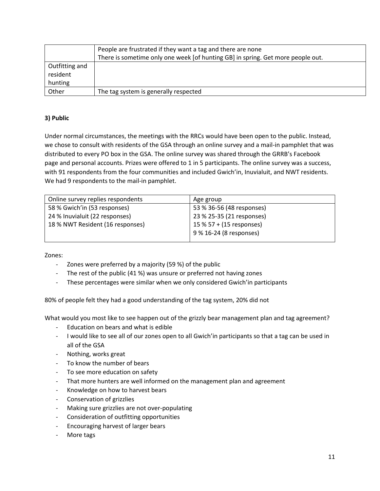|                | People are frustrated if they want a tag and there are none                     |
|----------------|---------------------------------------------------------------------------------|
|                | There is sometime only one week [of hunting GB] in spring. Get more people out. |
| Outfitting and |                                                                                 |
| resident       |                                                                                 |
| hunting        |                                                                                 |
| Other          | The tag system is generally respected                                           |

## **3) Public**

Under normal circumstances, the meetings with the RRCs would have been open to the public. Instead, we chose to consult with residents of the GSA through an online survey and a mail-in pamphlet that was distributed to every PO box in the GSA. The online survey was shared through the GRRB's Facebook page and personal accounts. Prizes were offered to 1 in 5 participants. The online survey was a success, with 91 respondents from the four communities and included Gwich'in, Inuvialuit, and NWT residents. We had 9 respondents to the mail-in pamphlet.

| Online survey replies respondents | Age group                 |
|-----------------------------------|---------------------------|
| 58 % Gwich'in (53 responses)      | 53 % 36-56 (48 responses) |
| 24 % Inuvialuit (22 responses)    | 23 % 25-35 (21 responses) |
| 18 % NWT Resident (16 responses)  | 15 % 57 + (15 responses)  |
|                                   | 9 % 16-24 (8 responses)   |
|                                   |                           |

Zones:

- Zones were preferred by a majority (59 %) of the public
- The rest of the public (41 %) was unsure or preferred not having zones
- These percentages were similar when we only considered Gwich'in participants

80% of people felt they had a good understanding of the tag system, 20% did not

What would you most like to see happen out of the grizzly bear management plan and tag agreement?

- Education on bears and what is edible
- I would like to see all of our zones open to all Gwich'in participants so that a tag can be used in all of the GSA
- Nothing, works great
- To know the number of bears
- To see more education on safety
- That more hunters are well informed on the management plan and agreement
- Knowledge on how to harvest bears
- Conservation of grizzlies
- Making sure grizzlies are not over-populating
- Consideration of outfitting opportunities
- Encouraging harvest of larger bears
- More tags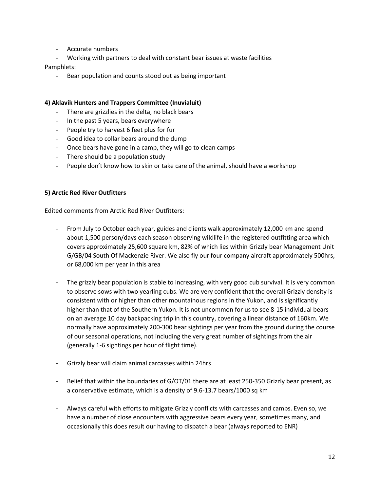- Accurate numbers
- Working with partners to deal with constant bear issues at waste facilities

Pamphlets:

- Bear population and counts stood out as being important

#### **4) Aklavik Hunters and Trappers Committee (Inuvialuit)**

- There are grizzlies in the delta, no black bears
- In the past 5 years, bears everywhere
- People try to harvest 6 feet plus for fur
- Good idea to collar bears around the dump
- Once bears have gone in a camp, they will go to clean camps
- There should be a population study
- People don't know how to skin or take care of the animal, should have a workshop

#### **5) Arctic Red River Outfitters**

Edited comments from Arctic Red River Outfitters:

- From July to October each year, guides and clients walk approximately 12,000 km and spend about 1,500 person/days each season observing wildlife in the registered outfitting area which covers approximately 25,600 square km, 82% of which lies within Grizzly bear Management Unit G/GB/04 South Of Mackenzie River. We also fly our four company aircraft approximately 500hrs, or 68,000 km per year in this area
- The grizzly bear population is stable to increasing, with very good cub survival. It is very common to observe sows with two yearling cubs. We are very confident that the overall Grizzly density is consistent with or higher than other mountainous regions in the Yukon, and is significantly higher than that of the Southern Yukon. It is not uncommon for us to see 8-15 individual bears on an average 10 day backpacking trip in this country, covering a linear distance of 160km. We normally have approximately 200-300 bear sightings per year from the ground during the course of our seasonal operations, not including the very great number of sightings from the air (generally 1-6 sightings per hour of flight time).
- Grizzly bear will claim animal carcasses within 24hrs
- Belief that within the boundaries of G/OT/01 there are at least 250-350 Grizzly bear present, as a conservative estimate, which is a density of 9.6-13.7 bears/1000 sq km
- Always careful with efforts to mitigate Grizzly conflicts with carcasses and camps. Even so, we have a number of close encounters with aggressive bears every year, sometimes many, and occasionally this does result our having to dispatch a bear (always reported to ENR)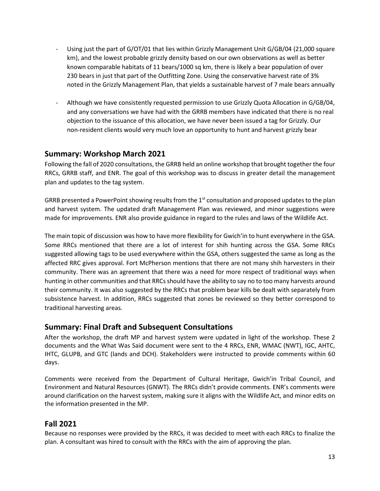- Using just the part of G/OT/01 that lies within Grizzly Management Unit G/GB/04 (21,000 square km), and the lowest probable grizzly density based on our own observations as well as better known comparable habitats of 11 bears/1000 sq km, there is likely a bear population of over 230 bears in just that part of the Outfitting Zone. Using the conservative harvest rate of 3% noted in the Grizzly Management Plan, that yields a sustainable harvest of 7 male bears annually
- Although we have consistently requested permission to use Grizzly Quota Allocation in G/GB/04, and any conversations we have had with the GRRB members have indicated that there is no real objection to the issuance of this allocation, we have never been issued a tag for Grizzly. Our non-resident clients would very much love an opportunity to hunt and harvest grizzly bear

## **Summary: Workshop March 2021**

Following the fall of 2020 consultations, the GRRB held an online workshop that brought together the four RRCs, GRRB staff, and ENR. The goal of this workshop was to discuss in greater detail the management plan and updates to the tag system.

GRRB presented a PowerPoint showing results from the 1<sup>st</sup> consultation and proposed updates to the plan and harvest system. The updated draft Management Plan was reviewed, and minor suggestions were made for improvements. ENR also provide guidance in regard to the rules and laws of the Wildlife Act.

The main topic of discussion was how to have more flexibility for Gwich'in to hunt everywhere in the GSA. Some RRCs mentioned that there are a lot of interest for shih hunting across the GSA. Some RRCs suggested allowing tags to be used everywhere within the GSA, others suggested the same as long as the affected RRC gives approval. Fort McPherson mentions that there are not many shih harvesters in their community. There was an agreement that there was a need for more respect of traditional ways when hunting in other communities and that RRCs should have the ability to say no to too many harvests around their community. It was also suggested by the RRCs that problem bear kills be dealt with separately from subsistence harvest. In addition, RRCs suggested that zones be reviewed so they better correspond to traditional harvesting areas.

## **Summary: Final Draft and Subsequent Consultations**

After the workshop, the draft MP and harvest system were updated in light of the workshop. These 2 documents and the What Was Said document were sent to the 4 RRCs, ENR, WMAC (NWT), IGC, AHTC, IHTC, GLUPB, and GTC (lands and DCH). Stakeholders were instructed to provide comments within 60 days.

Comments were received from the Department of Cultural Heritage, Gwich'in Tribal Council, and Environment and Natural Resources (GNWT). The RRCs didn't provide comments. ENR's comments were around clarification on the harvest system, making sure it aligns with the Wildlife Act, and minor edits on the information presented in the MP.

## **Fall 2021**

Because no responses were provided by the RRCs, it was decided to meet with each RRCs to finalize the plan. A consultant was hired to consult with the RRCs with the aim of approving the plan.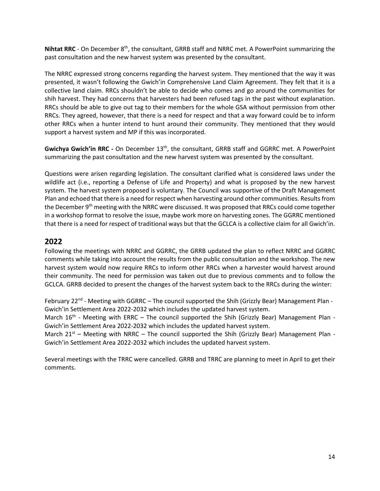**Nihtat RRC** - On December 8<sup>th</sup>, the consultant, GRRB staff and NRRC met. A PowerPoint summarizing the past consultation and the new harvest system was presented by the consultant.

The NRRC expressed strong concerns regarding the harvest system. They mentioned that the way it was presented, it wasn't following the Gwich'in Comprehensive Land Claim Agreement. They felt that it is a collective land claim. RRCs shouldn't be able to decide who comes and go around the communities for shih harvest. They had concerns that harvesters had been refused tags in the past without explanation. RRCs should be able to give out tag to their members for the whole GSA without permission from other RRCs. They agreed, however, that there is a need for respect and that a way forward could be to inform other RRCs when a hunter intend to hunt around their community. They mentioned that they would support a harvest system and MP if this was incorporated.

Gwichya Gwich'in RRC - On December 13<sup>th</sup>, the consultant, GRRB staff and GGRRC met. A PowerPoint summarizing the past consultation and the new harvest system was presented by the consultant.

Questions were arisen regarding legislation. The consultant clarified what is considered laws under the wildlife act (i.e., reporting a Defense of Life and Property) and what is proposed by the new harvest system. The harvest system proposed is voluntary. The Council was supportive of the Draft Management Plan and echoed that there is a need for respect when harvesting around other communities. Results from the December 9<sup>th</sup> meeting with the NRRC were discussed. It was proposed that RRCs could come together in a workshop format to resolve the issue, maybe work more on harvesting zones. The GGRRC mentioned that there is a need for respect of traditional ways but that the GCLCA is a collective claim for all Gwich'in.

## **2022**

Following the meetings with NRRC and GGRRC, the GRRB updated the plan to reflect NRRC and GGRRC comments while taking into account the results from the public consultation and the workshop. The new harvest system would now require RRCs to inform other RRCs when a harvester would harvest around their community. The need for permission was taken out due to previous comments and to follow the GCLCA. GRRB decided to present the changes of the harvest system back to the RRCs during the winter:

February 22<sup>nd</sup> - Meeting with GGRRC – The council supported the Shih (Grizzly Bear) Management Plan -Gwich'in Settlement Area 2022-2032 which includes the updated harvest system.

March 16<sup>th</sup> - Meeting with ERRC – The council supported the Shih (Grizzly Bear) Management Plan -Gwich'in Settlement Area 2022-2032 which includes the updated harvest system.

March  $21^{st}$  – Meeting with NRRC – The council supported the Shih (Grizzly Bear) Management Plan -Gwich'in Settlement Area 2022-2032 which includes the updated harvest system.

Several meetings with the TRRC were cancelled. GRRB and TRRC are planning to meet in April to get their comments.